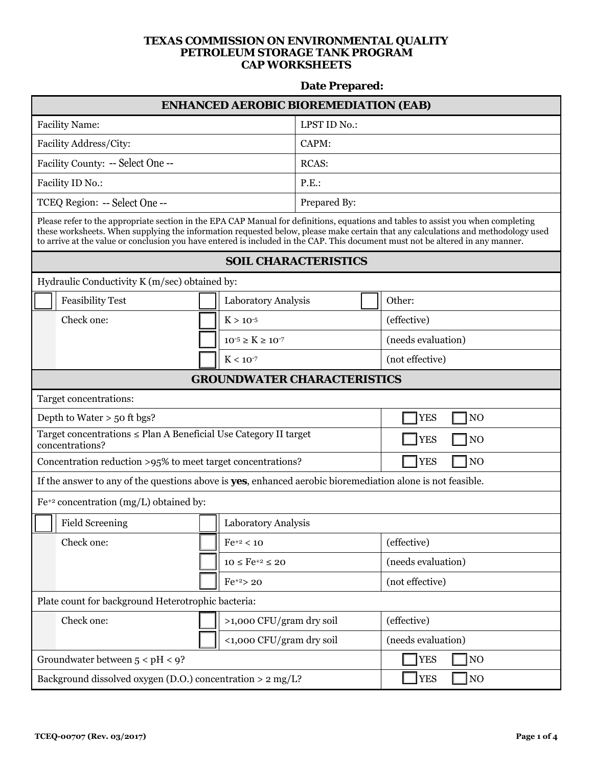## **TEXAS COMMISSION ON ENVIRONMENTAL QUALITY PETROLEUM STORAGE TANK PROGRAM CAP WORKSHEETS**

## **Date Prepared:**

| <b>ENHANCED AEROBIC BIOREMEDIATION (EAB)</b>                                                                                                                                                                                                                                                                                                                                                            |                                    |                             |                           |  |  |
|---------------------------------------------------------------------------------------------------------------------------------------------------------------------------------------------------------------------------------------------------------------------------------------------------------------------------------------------------------------------------------------------------------|------------------------------------|-----------------------------|---------------------------|--|--|
| <b>Facility Name:</b>                                                                                                                                                                                                                                                                                                                                                                                   |                                    | LPST ID No.:                |                           |  |  |
| Facility Address/City:                                                                                                                                                                                                                                                                                                                                                                                  |                                    | CAPM:                       |                           |  |  |
| Facility County: -- Select One --                                                                                                                                                                                                                                                                                                                                                                       |                                    | <b>RCAS:</b>                |                           |  |  |
| Facility ID No.:                                                                                                                                                                                                                                                                                                                                                                                        |                                    | P.E.                        |                           |  |  |
| TCEQ Region: -- Select One --                                                                                                                                                                                                                                                                                                                                                                           |                                    | Prepared By:                |                           |  |  |
| Please refer to the appropriate section in the EPA CAP Manual for definitions, equations and tables to assist you when completing<br>these worksheets. When supplying the information requested below, please make certain that any calculations and methodology used<br>to arrive at the value or conclusion you have entered is included in the CAP. This document must not be altered in any manner. |                                    |                             |                           |  |  |
|                                                                                                                                                                                                                                                                                                                                                                                                         |                                    | <b>SOIL CHARACTERISTICS</b> |                           |  |  |
| Hydraulic Conductivity K (m/sec) obtained by:                                                                                                                                                                                                                                                                                                                                                           |                                    |                             |                           |  |  |
| <b>Feasibility Test</b>                                                                                                                                                                                                                                                                                                                                                                                 | Laboratory Analysis                |                             | Other:                    |  |  |
| Check one:                                                                                                                                                                                                                                                                                                                                                                                              | $K > 10^{-5}$                      |                             | (effective)               |  |  |
|                                                                                                                                                                                                                                                                                                                                                                                                         | $10^{-5} \ge K \ge 10^{-7}$        |                             | (needs evaluation)        |  |  |
|                                                                                                                                                                                                                                                                                                                                                                                                         | $K < 10^{-7}$                      |                             | (not effective)           |  |  |
|                                                                                                                                                                                                                                                                                                                                                                                                         | <b>GROUNDWATER CHARACTERISTICS</b> |                             |                           |  |  |
| Target concentrations:                                                                                                                                                                                                                                                                                                                                                                                  |                                    |                             |                           |  |  |
| Depth to Water $>$ 50 ft bgs?                                                                                                                                                                                                                                                                                                                                                                           |                                    |                             | <b>YES</b><br>NO          |  |  |
| Target concentrations ≤ Plan A Beneficial Use Category II target<br>concentrations?                                                                                                                                                                                                                                                                                                                     |                                    |                             | <b>YES</b><br>TNO         |  |  |
| Concentration reduction >95% to meet target concentrations?                                                                                                                                                                                                                                                                                                                                             |                                    |                             | <b>YES</b><br>NO          |  |  |
| If the answer to any of the questions above is yes, enhanced aerobic bioremediation alone is not feasible.                                                                                                                                                                                                                                                                                              |                                    |                             |                           |  |  |
| $Fe^{+2}$ concentration (mg/L) obtained by:                                                                                                                                                                                                                                                                                                                                                             |                                    |                             |                           |  |  |
| <b>Field Screening</b>                                                                                                                                                                                                                                                                                                                                                                                  | Laboratory Analysis                |                             |                           |  |  |
| Check one:                                                                                                                                                                                                                                                                                                                                                                                              | $Fe^{+2} < 10$                     |                             | (effective)               |  |  |
|                                                                                                                                                                                                                                                                                                                                                                                                         | $10 \leq Fe^{+2} \leq 20$          |                             | (needs evaluation)        |  |  |
|                                                                                                                                                                                                                                                                                                                                                                                                         | $Fe^{+2}$ > 20                     |                             | (not effective)           |  |  |
| Plate count for background Heterotrophic bacteria:                                                                                                                                                                                                                                                                                                                                                      |                                    |                             |                           |  |  |
| Check one:<br>>1,000 CFU/gram dry soil                                                                                                                                                                                                                                                                                                                                                                  |                                    |                             | (effective)               |  |  |
|                                                                                                                                                                                                                                                                                                                                                                                                         | <1,000 CFU/gram dry soil           |                             | (needs evaluation)        |  |  |
| Groundwater between $5 < pH < 9$ ?                                                                                                                                                                                                                                                                                                                                                                      |                                    |                             | <b>YES</b><br>NO          |  |  |
| Background dissolved oxygen (D.O.) concentration > 2 mg/L?                                                                                                                                                                                                                                                                                                                                              |                                    |                             | <b>YES</b><br>$\sqrt{NQ}$ |  |  |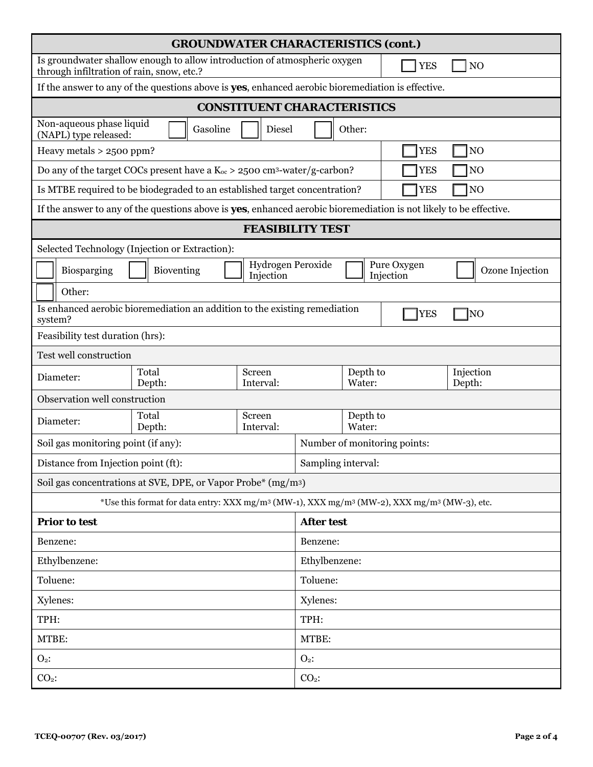| <b>GROUNDWATER CHARACTERISTICS (cont.)</b>                                                                                                 |                                                                                                                                 |                                    |                    |                              |            |                     |  |
|--------------------------------------------------------------------------------------------------------------------------------------------|---------------------------------------------------------------------------------------------------------------------------------|------------------------------------|--------------------|------------------------------|------------|---------------------|--|
| Is groundwater shallow enough to allow introduction of atmospheric oxygen<br>NO<br><b>YES</b><br>through infiltration of rain, snow, etc.? |                                                                                                                                 |                                    |                    |                              |            |                     |  |
|                                                                                                                                            | If the answer to any of the questions above is yes, enhanced aerobic bioremediation is effective.                               |                                    |                    |                              |            |                     |  |
|                                                                                                                                            |                                                                                                                                 | <b>CONSTITUENT CHARACTERISTICS</b> |                    |                              |            |                     |  |
| Non-aqueous phase liquid<br>Gasoline<br>Other:<br>Diesel<br>(NAPL) type released:                                                          |                                                                                                                                 |                                    |                    |                              |            |                     |  |
| Heavy metals > 2500 ppm?<br><b>YES</b><br>NO                                                                                               |                                                                                                                                 |                                    |                    |                              |            |                     |  |
| NO<br>Do any of the target COCs present have a $K_{oc}$ > 2500 cm <sup>3</sup> -water/g-carbon?<br><b>YES</b>                              |                                                                                                                                 |                                    |                    |                              |            |                     |  |
|                                                                                                                                            | NO<br>Is MTBE required to be biodegraded to an established target concentration?<br><b>YES</b>                                  |                                    |                    |                              |            |                     |  |
|                                                                                                                                            | If the answer to any of the questions above is <b>yes</b> , enhanced aerobic bioremediation is not likely to be effective.      |                                    |                    |                              |            |                     |  |
|                                                                                                                                            |                                                                                                                                 | <b>FEASIBILITY TEST</b>            |                    |                              |            |                     |  |
|                                                                                                                                            | Selected Technology (Injection or Extraction):                                                                                  |                                    |                    |                              |            |                     |  |
| Biosparging                                                                                                                                | Hydrogen Peroxide<br>Pure Oxygen<br>Bioventing<br>Ozone Injection<br>Injection<br>Injection                                     |                                    |                    |                              |            |                     |  |
| Other:                                                                                                                                     |                                                                                                                                 |                                    |                    |                              |            |                     |  |
| system?                                                                                                                                    | Is enhanced aerobic bioremediation an addition to the existing remediation                                                      |                                    |                    |                              | <b>YES</b> | ]NO                 |  |
| Feasibility test duration (hrs):                                                                                                           |                                                                                                                                 |                                    |                    |                              |            |                     |  |
| Test well construction                                                                                                                     |                                                                                                                                 |                                    |                    |                              |            |                     |  |
| Diameter:                                                                                                                                  | Total<br>Depth:                                                                                                                 | Screen<br>Interval:                |                    | Depth to<br>Water:           |            | Injection<br>Depth: |  |
| Observation well construction                                                                                                              |                                                                                                                                 |                                    |                    |                              |            |                     |  |
| Diameter:                                                                                                                                  | Total<br>Depth:                                                                                                                 | Screen<br>Interval:                |                    | Depth to<br>Water:           |            |                     |  |
|                                                                                                                                            | Soil gas monitoring point (if any):                                                                                             |                                    |                    | Number of monitoring points: |            |                     |  |
| Distance from Injection point (ft):                                                                                                        |                                                                                                                                 |                                    | Sampling interval: |                              |            |                     |  |
|                                                                                                                                            | Soil gas concentrations at SVE, DPE, or Vapor Probe* (mg/m <sup>3</sup> )                                                       |                                    |                    |                              |            |                     |  |
|                                                                                                                                            | *Use this format for data entry: XXX mg/m <sup>3</sup> (MW-1), XXX mg/m <sup>3</sup> (MW-2), XXX mg/m <sup>3</sup> (MW-3), etc. |                                    |                    |                              |            |                     |  |
| <b>Prior to test</b>                                                                                                                       |                                                                                                                                 |                                    | <b>After test</b>  |                              |            |                     |  |
| Benzene:                                                                                                                                   |                                                                                                                                 | Benzene:                           |                    |                              |            |                     |  |
| Ethylbenzene:                                                                                                                              |                                                                                                                                 | Ethylbenzene:                      |                    |                              |            |                     |  |
| Toluene:                                                                                                                                   |                                                                                                                                 | Toluene:                           |                    |                              |            |                     |  |
| Xylenes:                                                                                                                                   |                                                                                                                                 | Xylenes:                           |                    |                              |            |                     |  |
| TPH:                                                                                                                                       |                                                                                                                                 | TPH:                               |                    |                              |            |                     |  |
| MTBE:                                                                                                                                      |                                                                                                                                 |                                    | MTBE:              |                              |            |                     |  |
| $O2$ :                                                                                                                                     |                                                                                                                                 |                                    | $O2$ :             |                              |            |                     |  |
| $CO2$ :                                                                                                                                    |                                                                                                                                 |                                    | $CO2$ :            |                              |            |                     |  |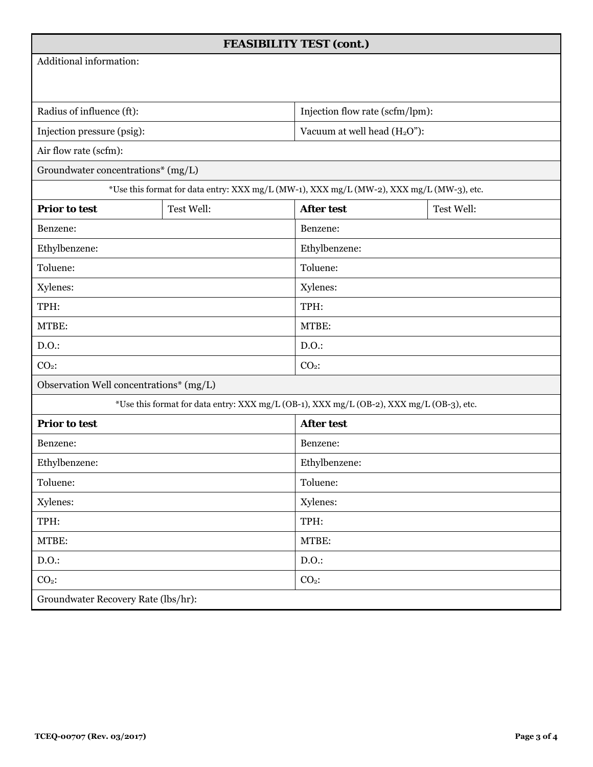| <b>FEASIBILITY TEST (cont.)</b>                                                          |                                                                                          |                                          |            |  |  |  |
|------------------------------------------------------------------------------------------|------------------------------------------------------------------------------------------|------------------------------------------|------------|--|--|--|
| Additional information:                                                                  |                                                                                          |                                          |            |  |  |  |
|                                                                                          |                                                                                          |                                          |            |  |  |  |
| Radius of influence (ft):                                                                |                                                                                          | Injection flow rate (scfm/lpm):          |            |  |  |  |
| Injection pressure (psig):                                                               |                                                                                          | Vacuum at well head (H <sub>2</sub> O"): |            |  |  |  |
| Air flow rate (scfm):                                                                    |                                                                                          |                                          |            |  |  |  |
| Groundwater concentrations* (mg/L)                                                       |                                                                                          |                                          |            |  |  |  |
|                                                                                          | *Use this format for data entry: XXX mg/L (MW-1), XXX mg/L (MW-2), XXX mg/L (MW-3), etc. |                                          |            |  |  |  |
| <b>Prior to test</b>                                                                     | Test Well:                                                                               | <b>After test</b>                        | Test Well: |  |  |  |
| Benzene:                                                                                 |                                                                                          | Benzene:                                 |            |  |  |  |
| Ethylbenzene:                                                                            |                                                                                          | Ethylbenzene:                            |            |  |  |  |
| Toluene:                                                                                 |                                                                                          | Toluene:                                 |            |  |  |  |
| Xylenes:                                                                                 |                                                                                          | Xylenes:                                 |            |  |  |  |
| TPH:                                                                                     |                                                                                          |                                          | TPH:       |  |  |  |
| MTBE:                                                                                    |                                                                                          | MTBE:                                    |            |  |  |  |
| D.O.                                                                                     |                                                                                          | D.O.                                     |            |  |  |  |
| $CO2$ :                                                                                  |                                                                                          | $CO2$ :                                  |            |  |  |  |
| Observation Well concentrations* (mg/L)                                                  |                                                                                          |                                          |            |  |  |  |
| *Use this format for data entry: XXX mg/L (OB-1), XXX mg/L (OB-2), XXX mg/L (OB-3), etc. |                                                                                          |                                          |            |  |  |  |
| <b>Prior to test</b>                                                                     |                                                                                          | <b>After test</b>                        |            |  |  |  |
| Benzene:                                                                                 |                                                                                          |                                          | Benzene:   |  |  |  |
| Ethylbenzene:                                                                            |                                                                                          | Ethylbenzene:                            |            |  |  |  |
| Toluene:                                                                                 |                                                                                          |                                          | Toluene:   |  |  |  |
| Xylenes:                                                                                 |                                                                                          | Xylenes:                                 |            |  |  |  |
| TPH:                                                                                     |                                                                                          | TPH:                                     |            |  |  |  |
| MTBE:                                                                                    |                                                                                          | MTBE:                                    |            |  |  |  |
| D.O.                                                                                     |                                                                                          | D.O.                                     |            |  |  |  |
| $CO2$ :                                                                                  |                                                                                          | $CO2$ :                                  |            |  |  |  |
| Groundwater Recovery Rate (lbs/hr):                                                      |                                                                                          |                                          |            |  |  |  |